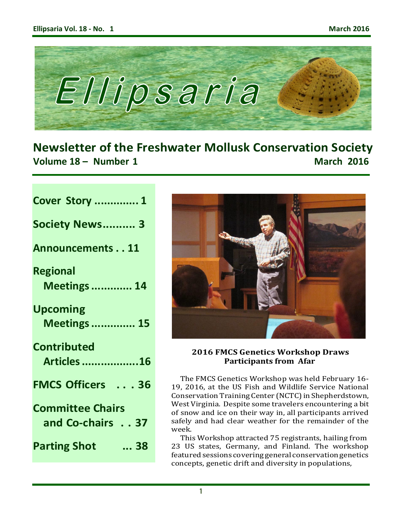

**Newsletter of the Freshwater Mollusk Conservation Society Volume 18 – Number 1 March 2016**

| <b>Cover Story  1</b>             |
|-----------------------------------|
| <b>Society News 3</b>             |
| <b>Announcements11</b>            |
| <b>Regional</b>                   |
| <b>Meetings  14</b>               |
| <b>Upcoming</b>                   |
| <b>Meetings  15</b>               |
| Contributed                       |
| <b>Articles 16</b>                |
| <b>FMCS Officers  36</b>          |
| <b>Committee Chairs</b>           |
| and Co-chairs 37                  |
| $\dots$ 38<br><b>Parting Shot</b> |
|                                   |



## **2016 FMCS Genetics Workshop Draws Participants from Afar**

The FMCS Genetics Workshop was held February 16- 19, 2016, at the US Fish and Wildlife Service National Conservation Training Center (NCTC) in Shepherdstown, West Virginia. Despite some travelers encountering a bit of snow and ice on their way in, all participants arrived safely and had clear weather for the remainder of the week.

This Workshop attracted 75 registrants, hailing from 23 US states, Germany, and Finland. The workshop featured sessions covering general conservation genetics concepts, genetic drift and diversity in populations,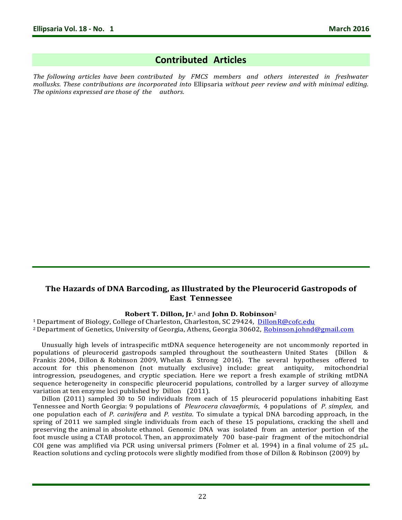# **Contributed Articles**

*The following articles have been contributed by FMCS members and others interested in freshwater mollusks. These contributions are incorporated into* Ellipsaria *without peer review and with minimal editing. The opinions expressed are those of the authors.*

## **The Hazards of DNA Barcoding, as Illustrated by the Pleurocerid Gastropods of East Tennessee**

### **Robert T. Dillon, Jr**. <sup>1</sup>and **John D. Robinson**<sup>2</sup>

<sup>1</sup> Department of Biology, College of Charleston, Charleston, SC 29424, [DillonR@cofc.edu](mailto:DillonR@cofc.edu) <sup>2</sup> Department of Genetics, University of Georgia, Athens, Georgia 30602, [Robinson.johnd@gmail.com](mailto:Robinson.johnd@gmail.com)

Unusually high levels of intraspecific mtDNA sequence heterogeneity are not uncommonly reported in populations of pleurocerid gastropods sampled throughout the southeastern United States (Dillon & Frankis 2004, Dillon & Robinson 2009, Whelan & Strong 2016). The several hypotheses offered to account for this phenomenon (not mutually exclusive) include: great antiquity, mitochondrial introgression, pseudogenes, and cryptic speciation. Here we report a fresh example of striking mtDNA sequence heterogeneity in conspecific pleurocerid populations, controlled by a larger survey of allozyme variation at ten enzyme loci published by Dillon (2011).

Dillon (2011) sampled 30 to 50 individuals from each of 15 pleurocerid populations inhabiting East Tennessee and North Georgia: 9 populations of *Pleurocera clavaeformis*, 4 populations of *P. simplex*, and one population each of *P. carinifera* and *P. vestita*. To simulate a typical DNA barcoding approach, in the spring of 2011 we sampled single individuals from each of these 15 populations, cracking the shell and preserving the animal in absolute ethanol. Genomic DNA was isolated from an anterior portion of the foot muscle using a CTAB protocol. Then, an approximately 700 base-pair fragment of the mitochondrial COI gene was amplified via PCR using universal primers (Folmer et al. 1994) in a final volume of 25  $\mu$ L. Reaction solutions and cycling protocols were slightly modified from those of Dillon & Robinson (2009) by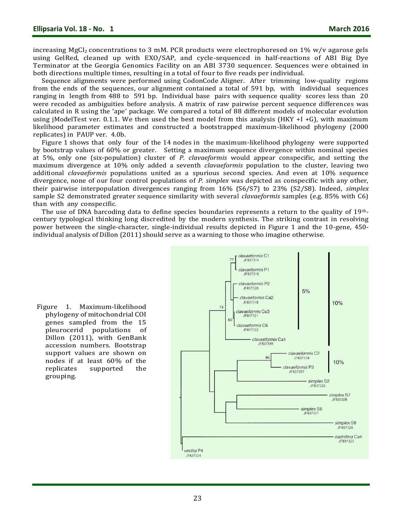increasing  $MgCl<sub>2</sub>$  concentrations to 3 mM. PCR products were electrophoresed on 1% w/v agarose gels using GelRed, cleaned up with EXO/SAP, and cycle-sequenced in half-reactions of ABI Big Dye Terminator at the Georgia Genomics Facility on an ABI 3730 sequencer. Sequences were obtained in both directions multiple times, resulting in a total of four to five reads per individual.

Sequence alignments were performed using CodonCode Aligner. After trimming low-quality regions from the ends of the sequences, our alignment contained a total of 591 bp, with individual sequences ranging in length from 488 to 591 bp. Individual base pairs with sequence quality scores less than 20 were recoded as ambiguities before analysis. A matrix of raw pairwise percent sequence differences was calculated in R using the 'ape' package. We compared a total of 88 different models of molecular evolution using jModelTest ver. 0.1.1. We then used the best model from this analysis (HKY  $+I +G$ ), with maximum likelihood parameter estimates and constructed a bootstrapped maximum-likelihood phylogeny (2000 replicates) in PAUP ver. 4.0b.

Figure 1 shows that only four of the 14 nodes in the maximum-likelihood phylogeny were supported by bootstrap values of 60% or greater. Setting a maximum sequence divergence within nominal species at 5%, only one (six-population) cluster of *P. clavaeformis* would appear conspecific, and setting the maximum divergence at 10% only added a seventh *clavaeformis* population to the cluster, leaving two additional *clavaeformis* populations united as a spurious second species. And even at 10% sequence divergence, none of our four control populations of *P. simplex* was depicted as conspecific with any other, their pairwise interpopulation divergences ranging from 16% (S6/S7) to 23% (S2/S8). Indeed, *simplex*  sample S2 demonstrated greater sequence similarity with several *clavaeformis* samples (e.g. 85% with C6) than with any conspecific.

The use of DNA barcoding data to define species boundaries represents a return to the quality of 19thcentury typological thinking long discredited by the modern synthesis. The striking contrast in resolving power between the single-character, single-individual results depicted in Figure 1 and the 10-gene, 450 individual analysis of Dillon (2011) should serve as a warning to those who imagine otherwise.



Figure 1. Maximum-likelihood phylogeny of mitochondrial COI genes sampled from the 15 pleurocerid populations of Dillon (2011), with GenBank accession numbers. Bootstrap support values are shown on nodes if at least 60% of the replicates supported the grouping.